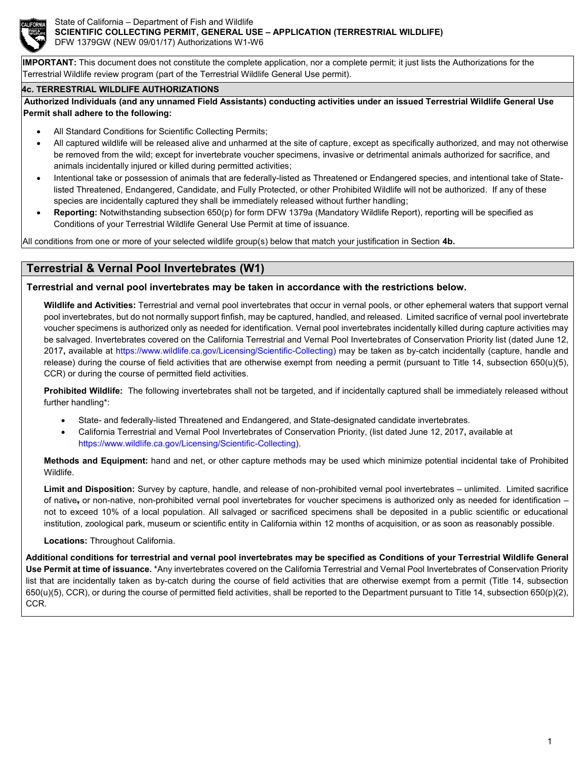

**IMPORTANT:** This document does not constitute the complete application, nor a complete permit; it just lists the Authorizations for the Terrestrial Wildlife review program (part of the Terrestrial Wildlife General Use permit).

#### **4c. TERRESTRIAL WILDLIFE AUTHORIZATIONS**

**Authorized Individuals (and any unnamed Field Assistants) conducting activities under an issued Terrestrial Wildlife General Use Permit shall adhere to the following:**

- All Standard Conditions for Scientific Collecting Permits;
- All captured wildlife will be released alive and unharmed at the site of capture, except as specifically authorized, and may not otherwise be removed from the wild; except for invertebrate voucher specimens, invasive or detrimental animals authorized for sacrifice, and animals incidentally injured or killed during permitted activities;
- Intentional take or possession of animals that are federally-listed as Threatened or Endangered species, and intentional take of Statelisted Threatened, Endangered, Candidate, and Fully Protected, or other Prohibited Wildlife will not be authorized. If any of these species are incidentally captured they shall be immediately released without further handling;
- **Reporting:** Notwithstanding subsection 650(p) for form DFW 1379a (Mandatory Wildlife Report), reporting will be specified as Conditions of your Terrestrial Wildlife General Use Permit at time of issuance.

All conditions from one or more of your selected wildlife group(s) below that match your justification in Section **4b.**

# **Terrestrial & Vernal Pool Invertebrates (W1)**

#### **Terrestrial and vernal pool invertebrates may be taken in accordance with the restrictions below.**

**Wildlife and Activities:** Terrestrial and vernal pool invertebrates that occur in vernal pools, or other ephemeral waters that support vernal pool invertebrates, but do not normally support finfish, may be captured, handled, and released. Limited sacrifice of vernal pool invertebrate voucher specimens is authorized only as needed for identification. Vernal pool invertebrates incidentally killed during capture activities may be salvaged. Invertebrates covered on the California Terrestrial and Vernal Pool Invertebrates of Conservation Priority list (dated June 12, 2017**,** available at [https://www.wildlife.ca.gov/Licensing/Scientific-Collecting\)](https://www.wildlife.ca.gov/Licensing/Scientific-Collecting) may be taken as by-catch incidentally (capture, handle and release) during the course of field activities that are otherwise exempt from needing a permit (pursuant to Title 14, subsection 650(u)(5), CCR) or during the course of permitted field activities.

**Prohibited Wildlife:** The following invertebrates shall not be targeted, and if incidentally captured shall be immediately released without further handling\*:

- State- and federally-listed Threatened and Endangered, and State-designated candidate invertebrates.
- California Terrestrial and Vernal Pool Invertebrates of Conservation Priority, (list dated June 12, 2017**,** available at [https://www.wildlife.ca.gov/Licensing/Scientific-Collecting\)](https://www.wildlife.ca.gov/Licensing/Scientific-Collecting).

**Methods and Equipment:** hand and net, or other capture methods may be used which minimize potential incidental take of Prohibited Wildlife.

**Limit and Disposition:** Survey by capture, handle, and release of non-prohibited vernal pool invertebrates – unlimited. Limited sacrifice of native**,** or non-native, non-prohibited vernal pool invertebrates for voucher specimens is authorized only as needed for identification – not to exceed 10% of a local population. All salvaged or sacrificed specimens shall be deposited in a public scientific or educational institution, zoological park, museum or scientific entity in California within 12 months of acquisition, or as soon as reasonably possible.

**Locations:** Throughout California.

**Additional conditions for terrestrial and vernal pool invertebrates may be specified as Conditions of your Terrestrial Wildlife General Use Permit at time of issuance.** \*Any invertebrates covered on the California Terrestrial and Vernal Pool Invertebrates of Conservation Priority list that are incidentally taken as by-catch during the course of field activities that are otherwise exempt from a permit (Title 14, subsection 650(u)(5), CCR), or during the course of permitted field activities, shall be reported to the Department pursuant to Title 14, subsection 650(p)(2), CCR.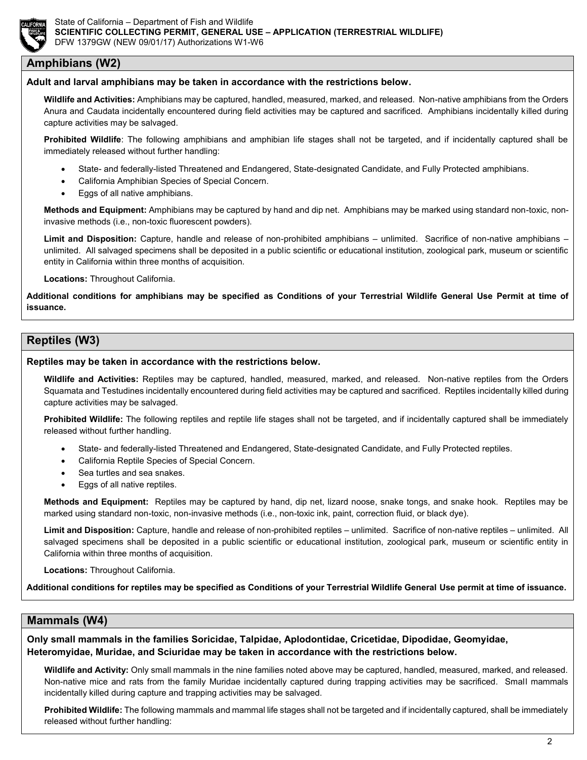

### **Amphibians (W2)**

#### **Adult and larval amphibians may be taken in accordance with the restrictions below.**

**Wildlife and Activities:** Amphibians may be captured, handled, measured, marked, and released. Non-native amphibians from the Orders Anura and Caudata incidentally encountered during field activities may be captured and sacrificed. Amphibians incidentally killed during capture activities may be salvaged.

**Prohibited Wildlife**: The following amphibians and amphibian life stages shall not be targeted, and if incidentally captured shall be immediately released without further handling:

- State- and federally-listed Threatened and Endangered, State-designated Candidate, and Fully Protected amphibians.
- California Amphibian Species of Special Concern.
- Eggs of all native amphibians.

**Methods and Equipment:** Amphibians may be captured by hand and dip net. Amphibians may be marked using standard non-toxic, noninvasive methods (i.e., non-toxic fluorescent powders).

Limit and Disposition: Capture, handle and release of non-prohibited amphibians – unlimited. Sacrifice of non-native amphibians – unlimited. All salvaged specimens shall be deposited in a public scientific or educational institution, zoological park, museum or scientific entity in California within three months of acquisition.

**Locations:** Throughout California.

**Additional conditions for amphibians may be specified as Conditions of your Terrestrial Wildlife General Use Permit at time of issuance.**

## **Reptiles (W3)**

#### **Reptiles may be taken in accordance with the restrictions below.**

**Wildlife and Activities:** Reptiles may be captured, handled, measured, marked, and released. Non-native reptiles from the Orders Squamata and Testudines incidentally encountered during field activities may be captured and sacrificed. Reptiles incidentally killed during capture activities may be salvaged.

**Prohibited Wildlife:** The following reptiles and reptile life stages shall not be targeted, and if incidentally captured shall be immediately released without further handling.

- State- and federally-listed Threatened and Endangered, State-designated Candidate, and Fully Protected reptiles.
- California Reptile Species of Special Concern.
- Sea turtles and sea snakes.
- Eggs of all native reptiles.

**Methods and Equipment:** Reptiles may be captured by hand, dip net, lizard noose, snake tongs, and snake hook. Reptiles may be marked using standard non-toxic, non-invasive methods (i.e., non-toxic ink, paint, correction fluid, or black dye).

**Limit and Disposition:** Capture, handle and release of non-prohibited reptiles – unlimited. Sacrifice of non-native reptiles – unlimited. All salvaged specimens shall be deposited in a public scientific or educational institution, zoological park, museum or scientific entity in California within three months of acquisition.

**Locations:** Throughout California.

**Additional conditions for reptiles may be specified as Conditions of your Terrestrial Wildlife General Use permit at time of issuance.**

### **Mammals (W4)**

**Only small mammals in the families Soricidae, Talpidae, Aplodontidae, Cricetidae, Dipodidae, Geomyidae, Heteromyidae, Muridae, and Sciuridae may be taken in accordance with the restrictions below.**

**Wildlife and Activity:** Only small mammals in the nine families noted above may be captured, handled, measured, marked, and released. Non-native mice and rats from the family Muridae incidentally captured during trapping activities may be sacrificed. Small mammals incidentally killed during capture and trapping activities may be salvaged.

**Prohibited Wildlife:** The following mammals and mammal life stages shall not be targeted and if incidentally captured, shall be immediately released without further handling: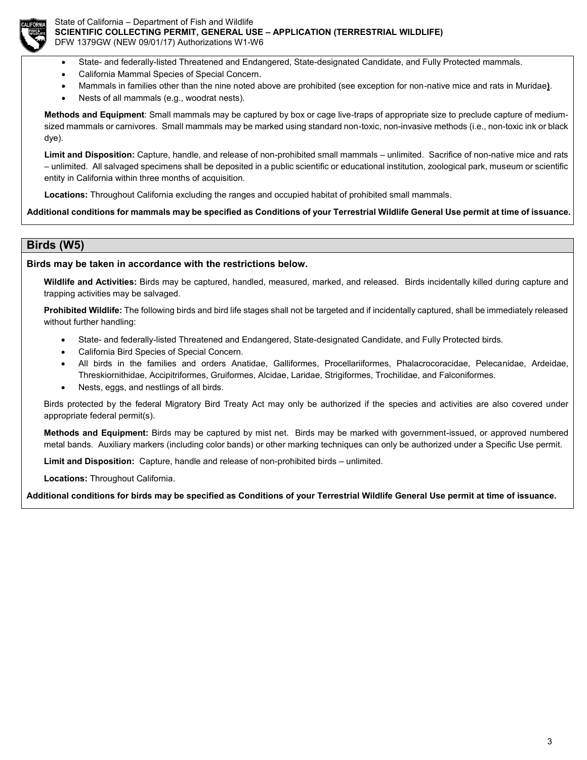

State of California – Department of Fish and Wildlife **SCIENTIFIC COLLECTING PERMIT, GENERAL USE – APPLICATION (TERRESTRIAL WILDLIFE)** DFW 1379GW (NEW 09/01/17) Authorizations W1-W6

- State- and federally-listed Threatened and Endangered, State-designated Candidate, and Fully Protected mammals.
- California Mammal Species of Special Concern.
- Mammals in families other than the nine noted above are prohibited (see exception for non-native mice and rats in Muridae**)**.
- Nests of all mammals (e.g., woodrat nests).

**Methods and Equipment**: Small mammals may be captured by box or cage live-traps of appropriate size to preclude capture of mediumsized mammals or carnivores. Small mammals may be marked using standard non-toxic, non-invasive methods (i.e., non-toxic ink or black dye).

**Limit and Disposition:** Capture, handle, and release of non-prohibited small mammals – unlimited. Sacrifice of non-native mice and rats – unlimited. All salvaged specimens shall be deposited in a public scientific or educational institution, zoological park, museum or scientific entity in California within three months of acquisition.

**Locations:** Throughout California excluding the ranges and occupied habitat of prohibited small mammals.

**Additional conditions for mammals may be specified as Conditions of your Terrestrial Wildlife General Use permit at time of issuance.**

### **Birds (W5)**

#### **Birds may be taken in accordance with the restrictions below.**

**Wildlife and Activities:** Birds may be captured, handled, measured, marked, and released. Birds incidentally killed during capture and trapping activities may be salvaged.

**Prohibited Wildlife:** The following birds and bird life stages shall not be targeted and if incidentally captured, shall be immediately released without further handling:

- State- and federally-listed Threatened and Endangered, State-designated Candidate, and Fully Protected birds.
- California Bird Species of Special Concern.
- All birds in the families and orders Anatidae, Galliformes, Procellariiformes, Phalacrocoracidae, Pelecanidae, Ardeidae, Threskiornithidae, Accipitriformes, Gruiformes, Alcidae, Laridae, Strigiformes, Trochilidae, and Falconiformes.
- Nests, eggs, and nestlings of all birds.

Birds protected by the federal Migratory Bird Treaty Act may only be authorized if the species and activities are also covered under appropriate federal permit(s).

**Methods and Equipment:** Birds may be captured by mist net. Birds may be marked with government-issued, or approved numbered metal bands. Auxiliary markers (including color bands) or other marking techniques can only be authorized under a Specific Use permit.

**Limit and Disposition:** Capture, handle and release of non-prohibited birds – unlimited.

**Locations:** Throughout California.

**Additional conditions for birds may be specified as Conditions of your Terrestrial Wildlife General Use permit at time of issuance.**